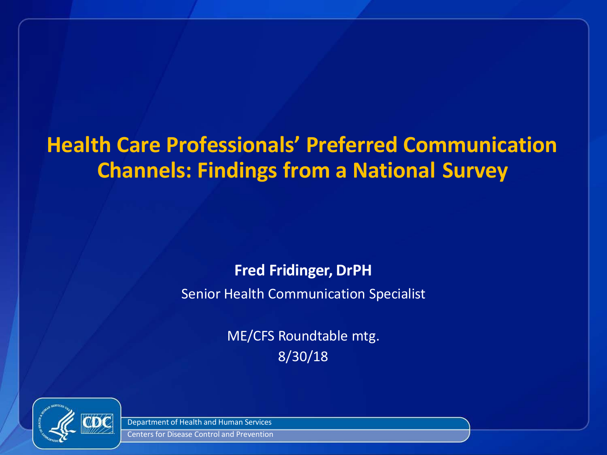### **Health Care Professionals' Preferred Communication Channels: Findings from a National Survey**

### **Fred Fridinger, DrPH**

Senior Health Communication Specialist

ME/CFS Roundtable mtg. 8/30/18



Department of Health and Human Services

Centers for Disease Control and Prevention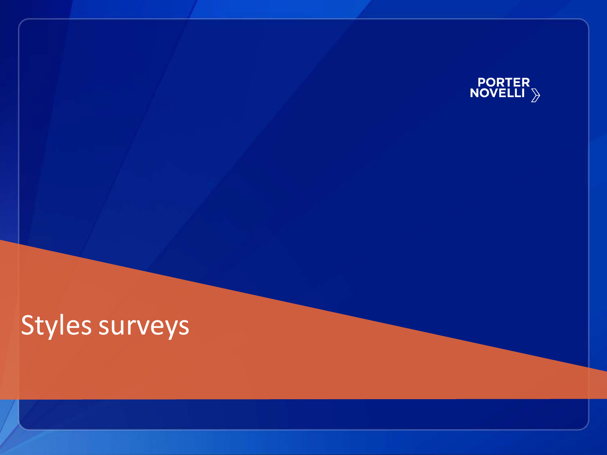

## Styles surveys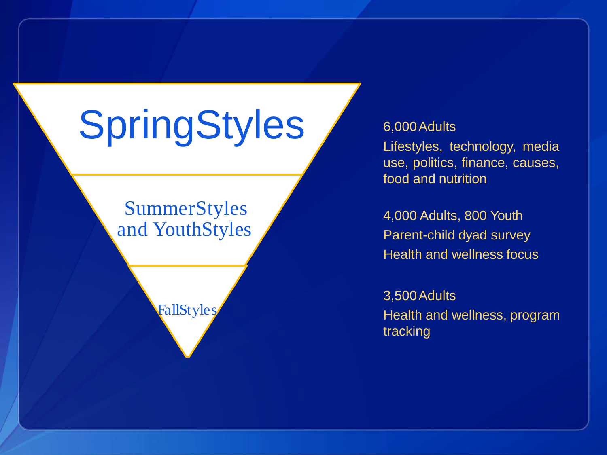# **SpringStyles**

### SummerStyles and YouthStyles

FallStyles

#### 6,000Adults

Lifestyles, technology, media use, politics, finance, causes, food and nutrition

4,000 Adults, 800 Youth Parent-child dyad survey Health and wellness focus

3,500Adults Health and wellness, program tracking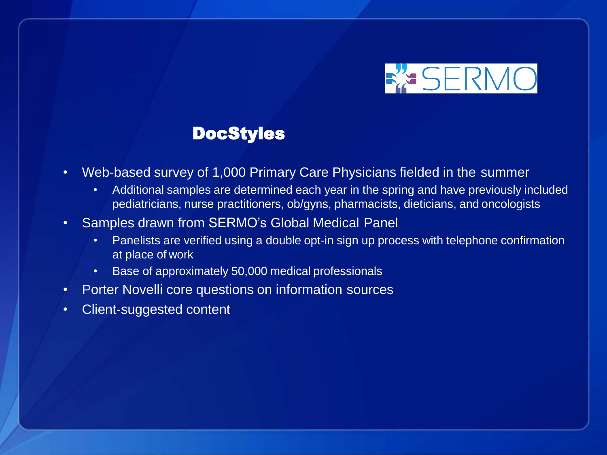

### DocStyles

- Web-based survey of 1,000 Primary Care Physicians fielded in the summer
	- Additional samples are determined each year in the spring and have previously included pediatricians, nurse practitioners, ob/gyns, pharmacists, dieticians, and oncologists
- Samples drawn from SERMO's Global Medical Panel
	- Panelists are verified using a double opt-in sign up process with telephone confirmation at place of work
	- Base of approximately 50,000 medical professionals
- Porter Novelli core questions on information sources
- Client-suggested content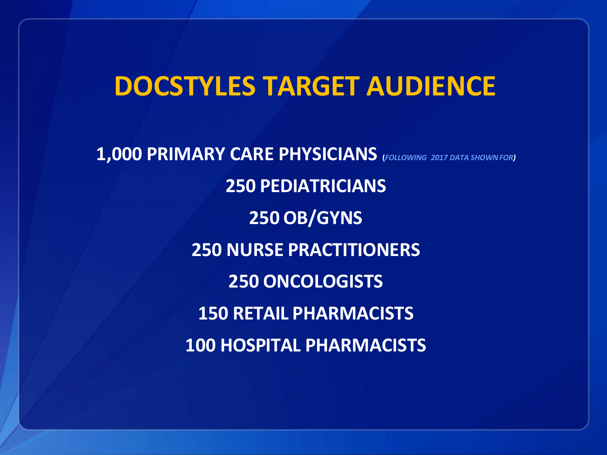### **DOCSTYLES TARGET AUDIENCE**

**1,000 PRIMARY CARE PHYSICIANS (***FOLLOWING 2017 DATA SHOWNFOR)* **250 PEDIATRICIANS 250 OB/GYNS 250 NURSE PRACTITIONERS 250 ONCOLOGISTS 150 RETAIL PHARMACISTS 100 HOSPITAL PHARMACISTS**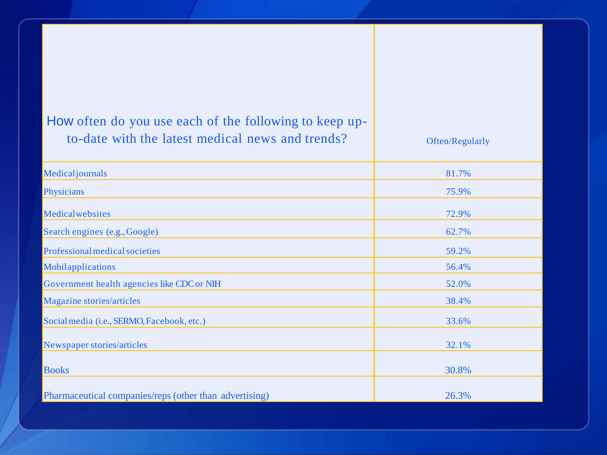| How often do you use each of the following to keep up-<br>to-date with the latest medical news and trends? | Often/Regularly |
|------------------------------------------------------------------------------------------------------------|-----------------|
| Medicaljournals                                                                                            | 81.7%           |
| Physicians                                                                                                 | 75.9%           |
| Medicalwebsites                                                                                            | 72.9%           |
| Search engines (e.g., Google)                                                                              | 62.7%           |
| Professional medical societies                                                                             | 59.2%           |
| Mobilapplications                                                                                          | 56.4%           |
| Government health agencies like CDC or NIH                                                                 | 52.0%           |
| Magazine stories/articles                                                                                  | 38.4%           |
| Social media (i.e., SERMO, Facebook, etc.)                                                                 | 33.6%           |
| Newspaper stories/articles                                                                                 | 32.1%           |
| <b>Books</b>                                                                                               | 30.8%           |
| Pharmaceutical companies/reps (other than advertising)                                                     | 26.3%           |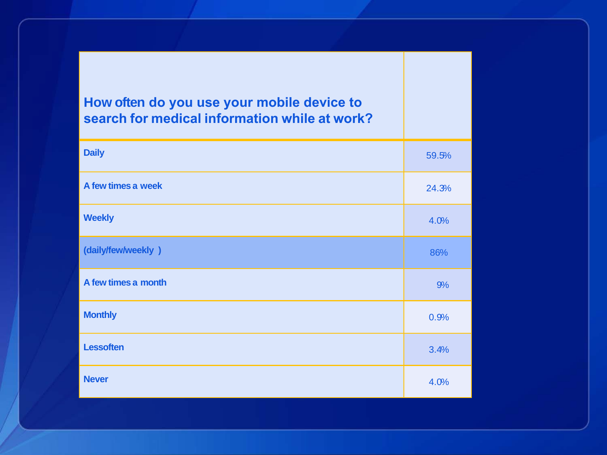### **How often do you use your mobile device to search for medical information while at work?**

| <b>Daily</b>        | 59.5% |
|---------------------|-------|
| A few times a week  | 24.3% |
| <b>Weekly</b>       | 4.0%  |
| (daily/few/weekly)  | 86%   |
| A few times a month | 9%    |
| <b>Monthly</b>      | 0.9%  |
| <b>Lessoften</b>    | 3.4%  |
| <b>Never</b>        | 4.0%  |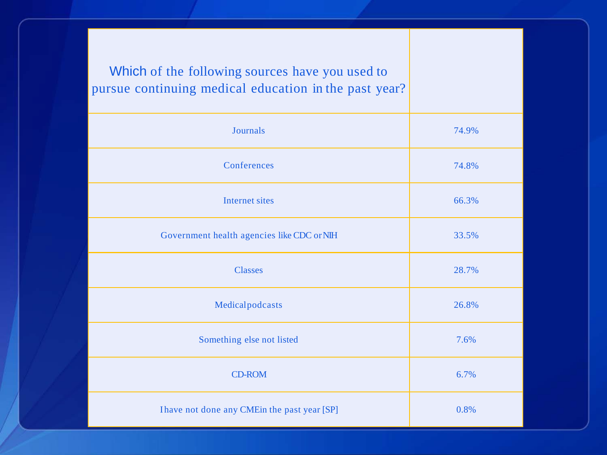Which of the following sources have you used to pursue continuing medical education in the past year?

| Journals                                      | 74.9% |
|-----------------------------------------------|-------|
| Conferences                                   | 74.8% |
| Internet sites                                | 66.3% |
| Government health agencies like CDC or NIH    | 33.5% |
| <b>Classes</b>                                | 28.7% |
| Medicalpodcasts                               | 26.8% |
| Something else not listed                     | 7.6%  |
| <b>CD-ROM</b>                                 | 6.7%  |
| I have not done any CME in the past year [SP] | 0.8%  |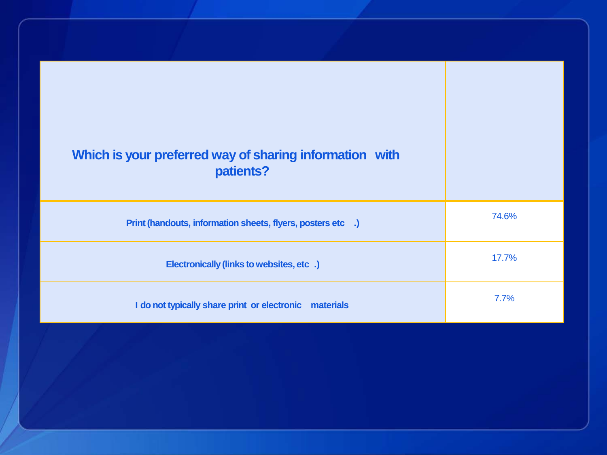| Which is your preferred way of sharing information with<br>patients? |       |
|----------------------------------------------------------------------|-------|
| Print (handouts, information sheets, flyers, posters etc .)          | 74.6% |
| Electronically (links to websites, etc.)                             | 17.7% |
| I do not typically share print or electronic materials               | 7.7%  |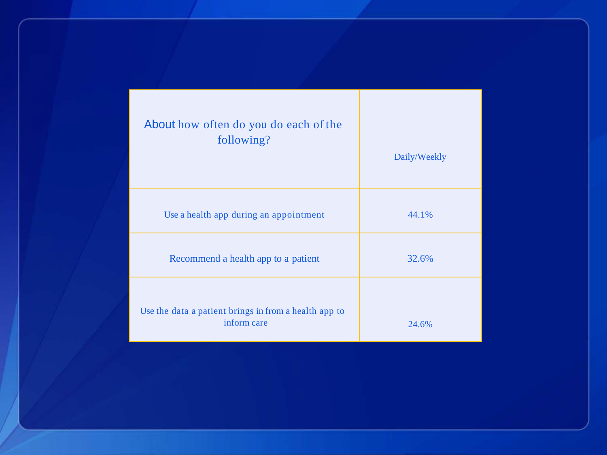| About how often do you do each of the<br>following?                  | Daily/Weekly |
|----------------------------------------------------------------------|--------------|
| Use a health app during an appointment                               | 44.1%        |
| Recommend a health app to a patient                                  | 32.6%        |
| Use the data a patient brings in from a health app to<br>inform care | 24.6%        |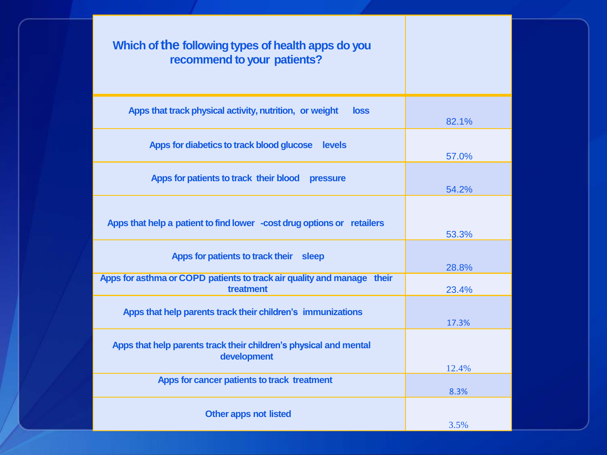#### **Which of the following types of health apps do you recommend to your patients?**

| Apps that track physical activity, nutrition, or weight<br>loss                     | 82.1% |
|-------------------------------------------------------------------------------------|-------|
| Apps for diabetics to track blood glucose<br><b>Levels</b>                          |       |
|                                                                                     | 57.0% |
| Apps for patients to track their blood<br><b>pressure</b>                           |       |
|                                                                                     | 54.2% |
|                                                                                     |       |
| Apps that help a patient to find lower -cost drug options or retailers              |       |
|                                                                                     | 53.3% |
| Apps for patients to track their sleep                                              |       |
|                                                                                     | 28.8% |
| Apps for asthma or COPD patients to track air quality and manage their<br>treatment | 23.4% |
|                                                                                     |       |
| Apps that help parents track their children's immunizations                         | 17.3% |
| Apps that help parents track their children's physical and mental                   |       |
| development                                                                         |       |
|                                                                                     | 12.4% |
| Apps for cancer patients to track treatment                                         | 8.3%  |
|                                                                                     |       |
| <b>Other apps not listed</b>                                                        | 3.5%  |
|                                                                                     |       |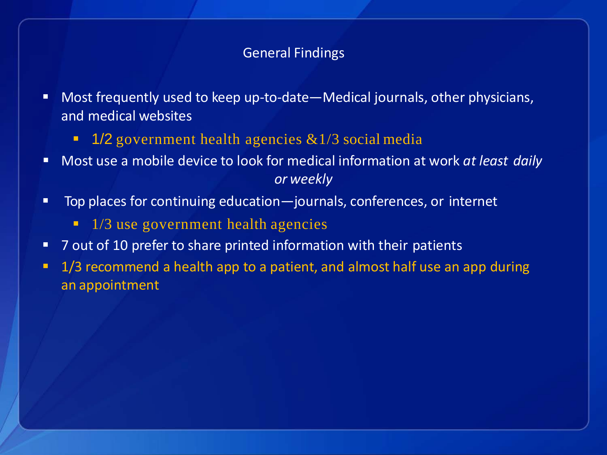#### General Findings

- **Most frequently used to keep up-to-date—Medical journals, other physicians,** and medical websites
	- **1/2** government health agencies  $&1/3$  social media
- Most use a mobile device to look for medical information at work *at least daily or weekly*
- Top places for continuing education—journals, conferences, or internet
	- 1/3 use government health agencies
- 7 out of 10 prefer to share printed information with their patients
- **1/3 recommend a health app to a patient, and almost half use an app during** an appointment